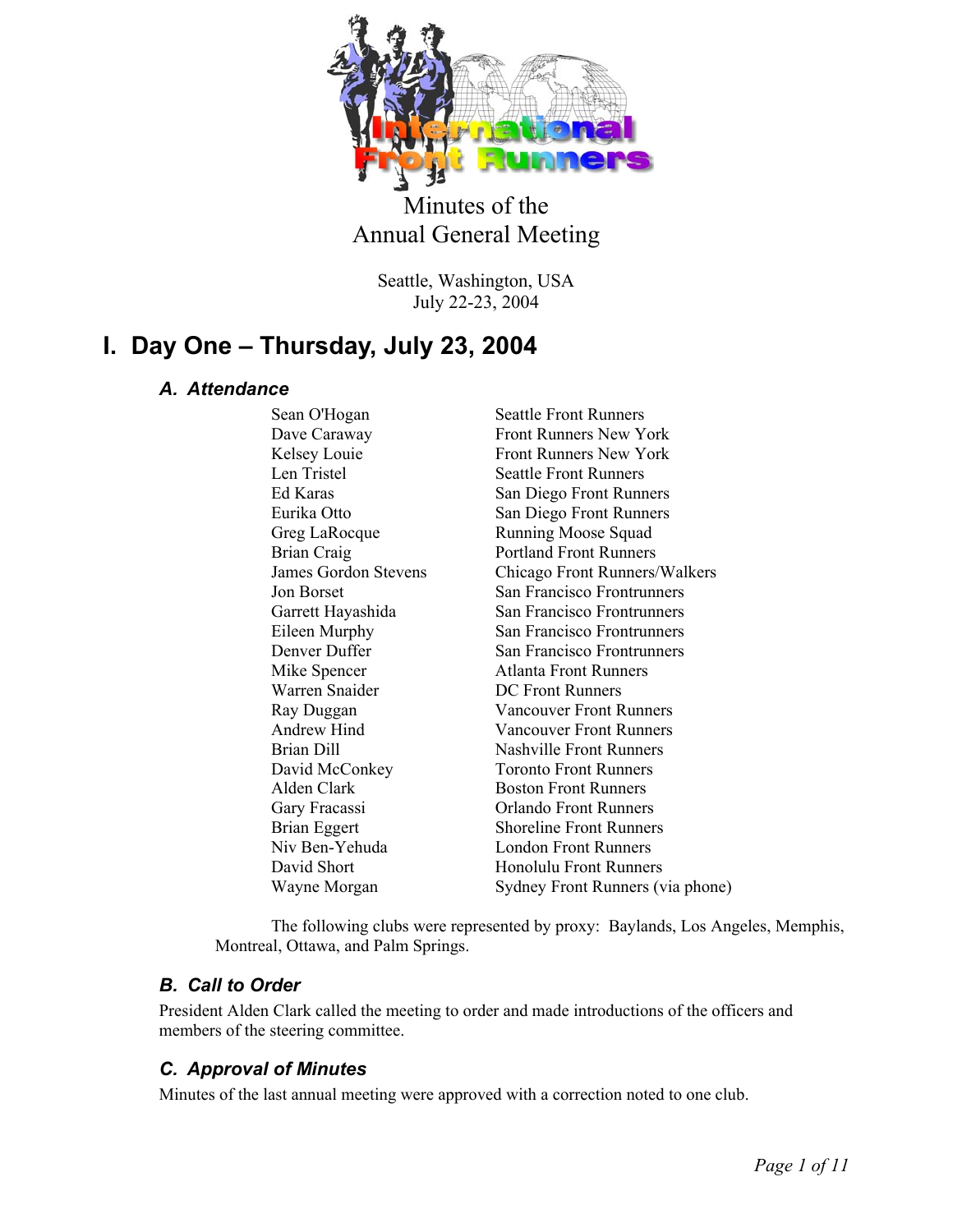

# Minutes of the Annual General Meeting

Seattle, Washington, USA July 22-23, 2004

# **I. Day One – Thursday, July 23, 2004**

# *A. Attendance*

Sean O'Hogan Seattle Front Runners Dave Caraway Front Runners New York Kelsey Louie Front Runners New York Len Tristel Seattle Front Runners Ed Karas San Diego Front Runners Eurika Otto San Diego Front Runners Greg LaRocque Running Moose Squad Brian Craig Portland Front Runners James Gordon Stevens Chicago Front Runners/Walkers Jon Borset San Francisco Frontrunners Garrett Hayashida San Francisco Frontrunners Eileen Murphy San Francisco Frontrunners Denver Duffer San Francisco Frontrunners Mike Spencer Atlanta Front Runners Warren Snaider **DC Front Runners**  Ray Duggan Vancouver Front Runners Andrew Hind Vancouver Front Runners Brian Dill Nashville Front Runners David McConkey Toronto Front Runners Alden Clark Boston Front Runners Gary Fracassi Orlando Front Runners Brian Eggert Shoreline Front Runners Niv Ben-Yehuda London Front Runners David Short **Honolulu Front Runners** 

Wayne Morgan Sydney Front Runners (via phone)

The following clubs were represented by proxy: Baylands, Los Angeles, Memphis, Montreal, Ottawa, and Palm Springs.

# *B. Call to Order*

President Alden Clark called the meeting to order and made introductions of the officers and members of the steering committee.

# *C. Approval of Minutes*

Minutes of the last annual meeting were approved with a correction noted to one club.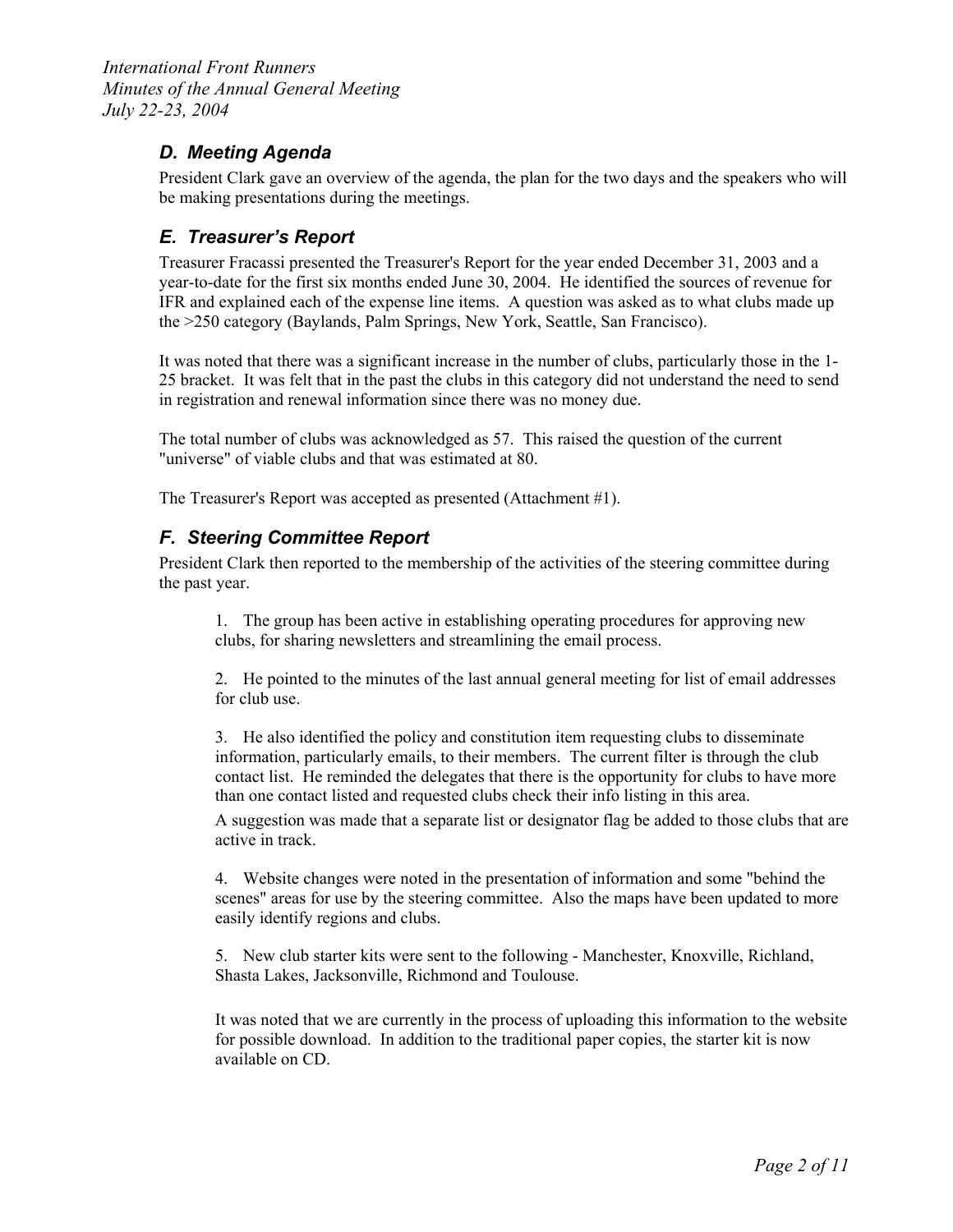## *D. Meeting Agenda*

President Clark gave an overview of the agenda, the plan for the two days and the speakers who will be making presentations during the meetings.

# *E. Treasurer's Report*

Treasurer Fracassi presented the Treasurer's Report for the year ended December 31, 2003 and a year-to-date for the first six months ended June 30, 2004. He identified the sources of revenue for IFR and explained each of the expense line items. A question was asked as to what clubs made up the >250 category (Baylands, Palm Springs, New York, Seattle, San Francisco).

It was noted that there was a significant increase in the number of clubs, particularly those in the 1- 25 bracket. It was felt that in the past the clubs in this category did not understand the need to send in registration and renewal information since there was no money due.

The total number of clubs was acknowledged as 57. This raised the question of the current "universe" of viable clubs and that was estimated at 80.

The Treasurer's Report was accepted as presented (Attachment #1).

### *F. Steering Committee Report*

President Clark then reported to the membership of the activities of the steering committee during the past year.

1. The group has been active in establishing operating procedures for approving new clubs, for sharing newsletters and streamlining the email process.

2. He pointed to the minutes of the last annual general meeting for list of email addresses for club use.

3. He also identified the policy and constitution item requesting clubs to disseminate information, particularly emails, to their members. The current filter is through the club contact list. He reminded the delegates that there is the opportunity for clubs to have more than one contact listed and requested clubs check their info listing in this area.

A suggestion was made that a separate list or designator flag be added to those clubs that are active in track.

4. Website changes were noted in the presentation of information and some "behind the scenes" areas for use by the steering committee. Also the maps have been updated to more easily identify regions and clubs.

5. New club starter kits were sent to the following - Manchester, Knoxville, Richland, Shasta Lakes, Jacksonville, Richmond and Toulouse.

It was noted that we are currently in the process of uploading this information to the website for possible download. In addition to the traditional paper copies, the starter kit is now available on CD.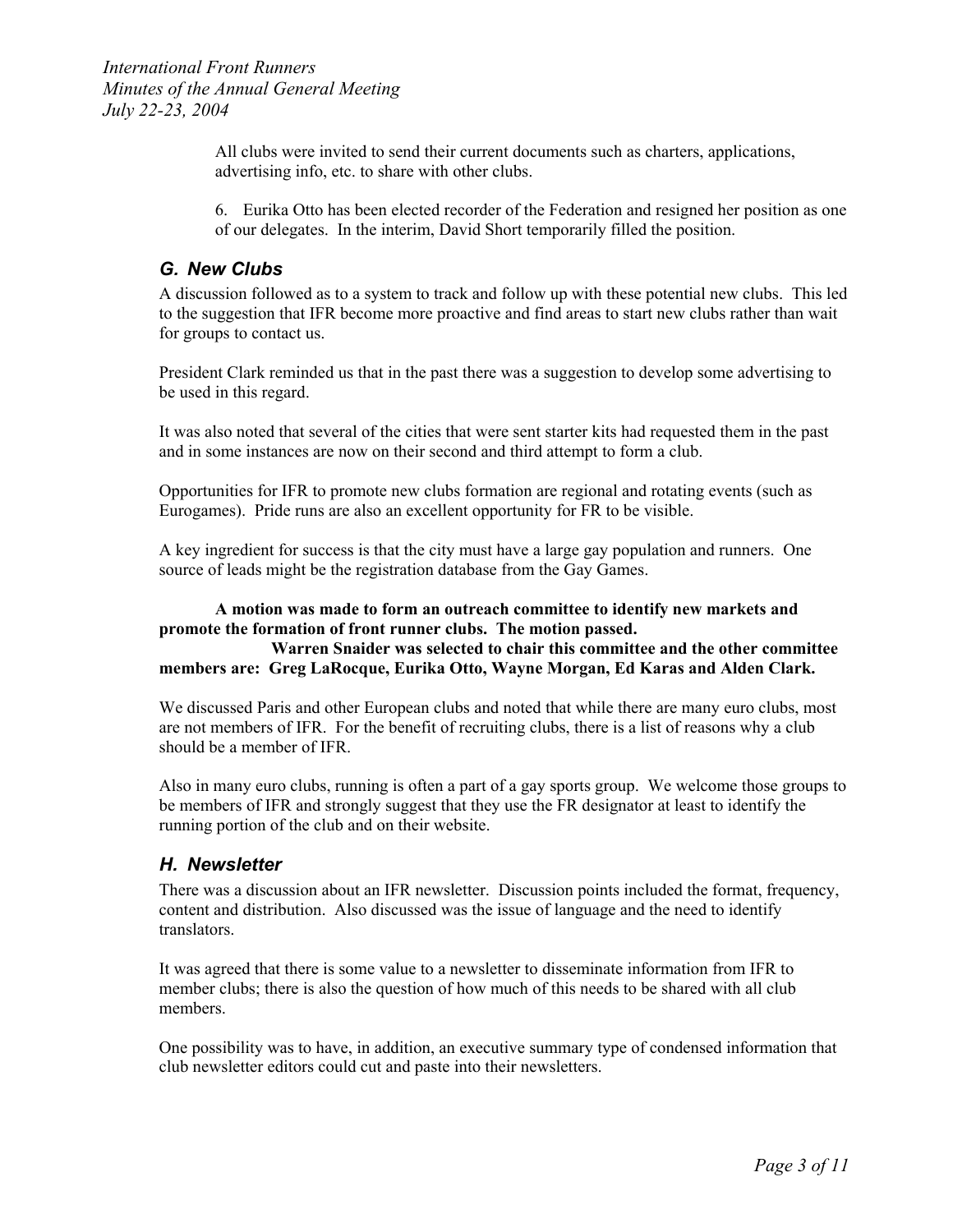All clubs were invited to send their current documents such as charters, applications, advertising info, etc. to share with other clubs.

6. Eurika Otto has been elected recorder of the Federation and resigned her position as one of our delegates. In the interim, David Short temporarily filled the position.

#### *G. New Clubs*

A discussion followed as to a system to track and follow up with these potential new clubs. This led to the suggestion that IFR become more proactive and find areas to start new clubs rather than wait for groups to contact us.

President Clark reminded us that in the past there was a suggestion to develop some advertising to be used in this regard.

It was also noted that several of the cities that were sent starter kits had requested them in the past and in some instances are now on their second and third attempt to form a club.

Opportunities for IFR to promote new clubs formation are regional and rotating events (such as Eurogames). Pride runs are also an excellent opportunity for FR to be visible.

A key ingredient for success is that the city must have a large gay population and runners. One source of leads might be the registration database from the Gay Games.

#### **A motion was made to form an outreach committee to identify new markets and promote the formation of front runner clubs. The motion passed.**

#### **Warren Snaider was selected to chair this committee and the other committee members are: Greg LaRocque, Eurika Otto, Wayne Morgan, Ed Karas and Alden Clark.**

We discussed Paris and other European clubs and noted that while there are many euro clubs, most are not members of IFR. For the benefit of recruiting clubs, there is a list of reasons why a club should be a member of IFR.

Also in many euro clubs, running is often a part of a gay sports group. We welcome those groups to be members of IFR and strongly suggest that they use the FR designator at least to identify the running portion of the club and on their website.

#### *H. Newsletter*

There was a discussion about an IFR newsletter. Discussion points included the format, frequency, content and distribution. Also discussed was the issue of language and the need to identify translators.

It was agreed that there is some value to a newsletter to disseminate information from IFR to member clubs; there is also the question of how much of this needs to be shared with all club members.

One possibility was to have, in addition, an executive summary type of condensed information that club newsletter editors could cut and paste into their newsletters.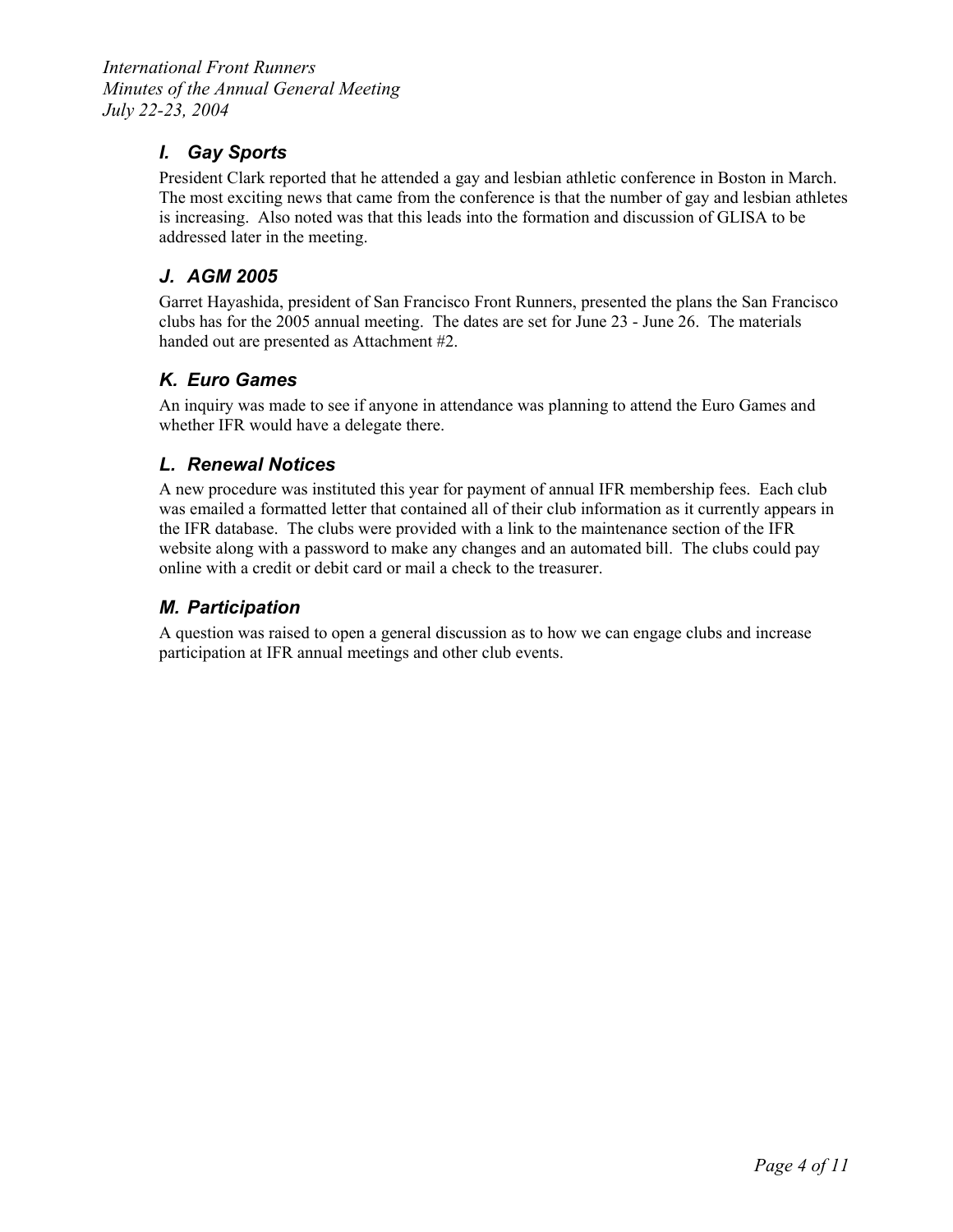# *I. Gay Sports*

President Clark reported that he attended a gay and lesbian athletic conference in Boston in March. The most exciting news that came from the conference is that the number of gay and lesbian athletes is increasing. Also noted was that this leads into the formation and discussion of GLISA to be addressed later in the meeting.

# *J. AGM 2005*

Garret Hayashida, president of San Francisco Front Runners, presented the plans the San Francisco clubs has for the 2005 annual meeting. The dates are set for June 23 - June 26. The materials handed out are presented as Attachment #2.

# *K. Euro Games*

An inquiry was made to see if anyone in attendance was planning to attend the Euro Games and whether IFR would have a delegate there.

#### *L. Renewal Notices*

A new procedure was instituted this year for payment of annual IFR membership fees. Each club was emailed a formatted letter that contained all of their club information as it currently appears in the IFR database. The clubs were provided with a link to the maintenance section of the IFR website along with a password to make any changes and an automated bill. The clubs could pay online with a credit or debit card or mail a check to the treasurer.

# *M. Participation*

A question was raised to open a general discussion as to how we can engage clubs and increase participation at IFR annual meetings and other club events.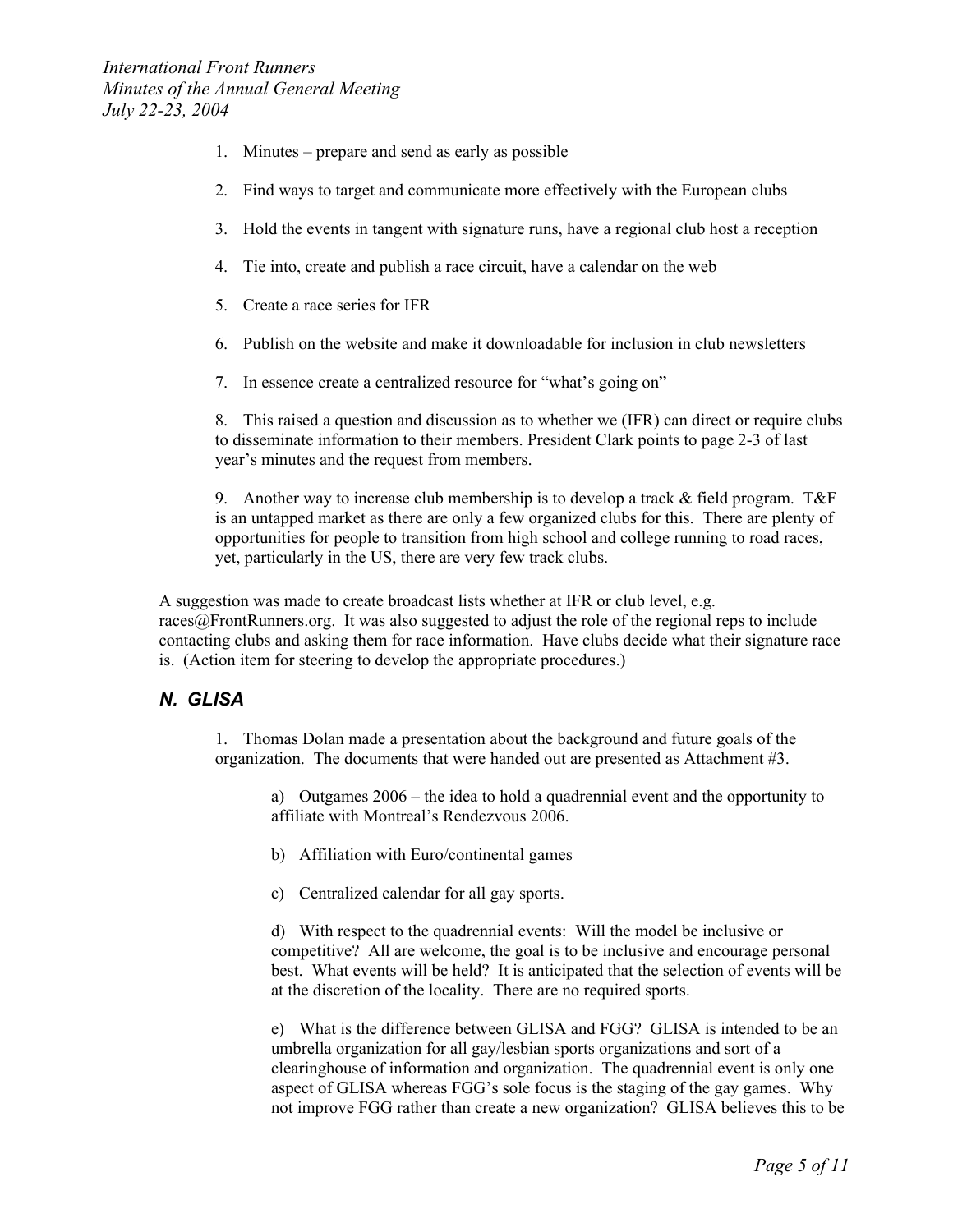- 1. Minutes prepare and send as early as possible
- 2. Find ways to target and communicate more effectively with the European clubs
- 3. Hold the events in tangent with signature runs, have a regional club host a reception
- 4. Tie into, create and publish a race circuit, have a calendar on the web
- 5. Create a race series for IFR
- 6. Publish on the website and make it downloadable for inclusion in club newsletters
- 7. In essence create a centralized resource for "what's going on"

8. This raised a question and discussion as to whether we (IFR) can direct or require clubs to disseminate information to their members. President Clark points to page 2-3 of last year's minutes and the request from members.

9. Another way to increase club membership is to develop a track & field program. T&F is an untapped market as there are only a few organized clubs for this. There are plenty of opportunities for people to transition from high school and college running to road races, yet, particularly in the US, there are very few track clubs.

A suggestion was made to create broadcast lists whether at IFR or club level, e.g. races@FrontRunners.org. It was also suggested to adjust the role of the regional reps to include contacting clubs and asking them for race information. Have clubs decide what their signature race is. (Action item for steering to develop the appropriate procedures.)

#### *N. GLISA*

1. Thomas Dolan made a presentation about the background and future goals of the organization. The documents that were handed out are presented as Attachment #3.

a) Outgames 2006 – the idea to hold a quadrennial event and the opportunity to affiliate with Montreal's Rendezvous 2006.

- b) Affiliation with Euro/continental games
- c) Centralized calendar for all gay sports.

d) With respect to the quadrennial events: Will the model be inclusive or competitive? All are welcome, the goal is to be inclusive and encourage personal best. What events will be held? It is anticipated that the selection of events will be at the discretion of the locality. There are no required sports.

e) What is the difference between GLISA and FGG? GLISA is intended to be an umbrella organization for all gay/lesbian sports organizations and sort of a clearinghouse of information and organization. The quadrennial event is only one aspect of GLISA whereas FGG's sole focus is the staging of the gay games. Why not improve FGG rather than create a new organization? GLISA believes this to be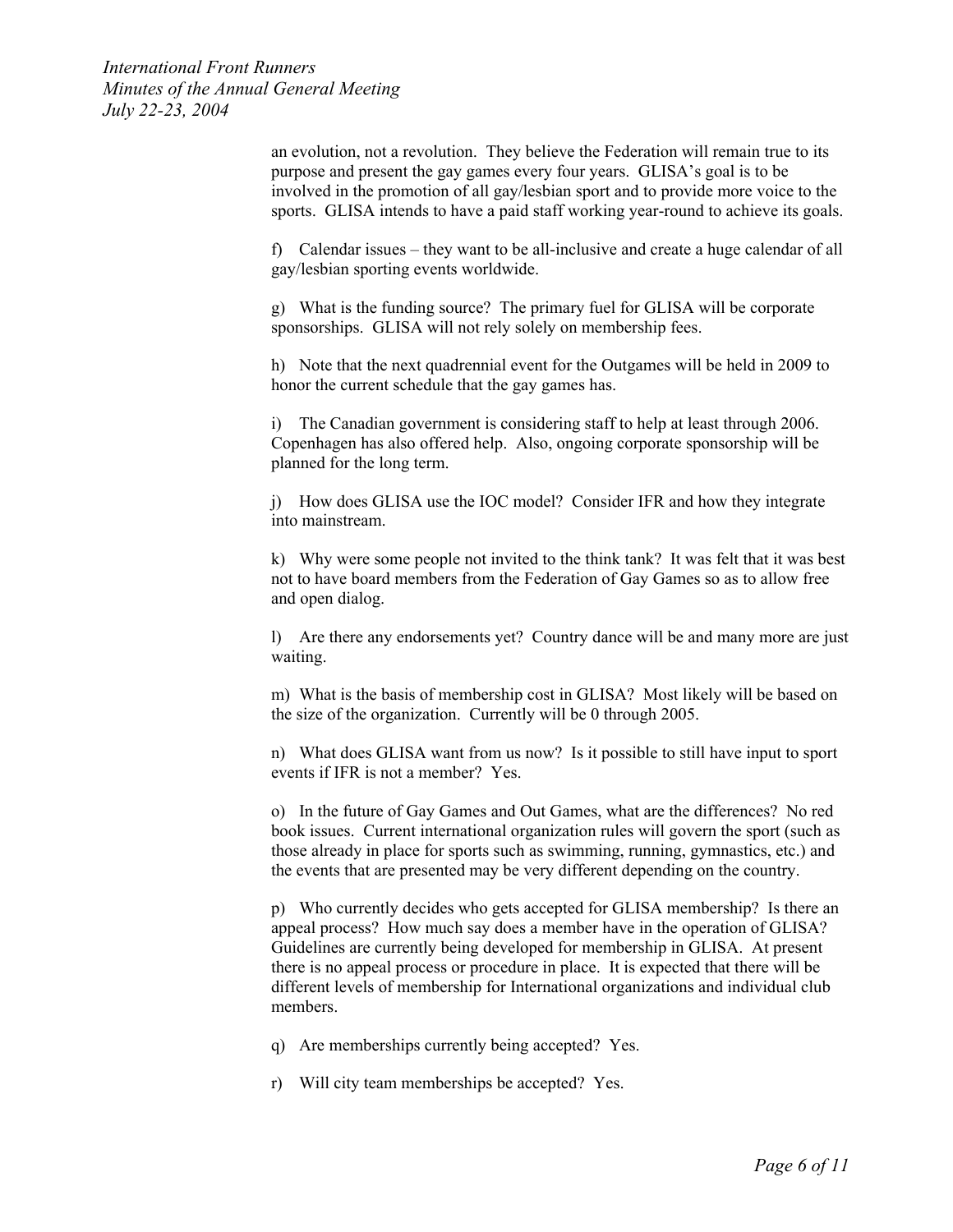> an evolution, not a revolution. They believe the Federation will remain true to its purpose and present the gay games every four years. GLISA's goal is to be involved in the promotion of all gay/lesbian sport and to provide more voice to the sports. GLISA intends to have a paid staff working year-round to achieve its goals.

> f) Calendar issues – they want to be all-inclusive and create a huge calendar of all gay/lesbian sporting events worldwide.

g) What is the funding source? The primary fuel for GLISA will be corporate sponsorships. GLISA will not rely solely on membership fees.

h) Note that the next quadrennial event for the Outgames will be held in 2009 to honor the current schedule that the gay games has.

i) The Canadian government is considering staff to help at least through 2006. Copenhagen has also offered help. Also, ongoing corporate sponsorship will be planned for the long term.

j) How does GLISA use the IOC model? Consider IFR and how they integrate into mainstream.

k) Why were some people not invited to the think tank? It was felt that it was best not to have board members from the Federation of Gay Games so as to allow free and open dialog.

l) Are there any endorsements yet? Country dance will be and many more are just waiting.

m) What is the basis of membership cost in GLISA? Most likely will be based on the size of the organization. Currently will be 0 through 2005.

n) What does GLISA want from us now? Is it possible to still have input to sport events if IFR is not a member? Yes.

o) In the future of Gay Games and Out Games, what are the differences? No red book issues. Current international organization rules will govern the sport (such as those already in place for sports such as swimming, running, gymnastics, etc.) and the events that are presented may be very different depending on the country.

p) Who currently decides who gets accepted for GLISA membership? Is there an appeal process? How much say does a member have in the operation of GLISA? Guidelines are currently being developed for membership in GLISA. At present there is no appeal process or procedure in place. It is expected that there will be different levels of membership for International organizations and individual club members.

q) Are memberships currently being accepted? Yes.

r) Will city team memberships be accepted? Yes.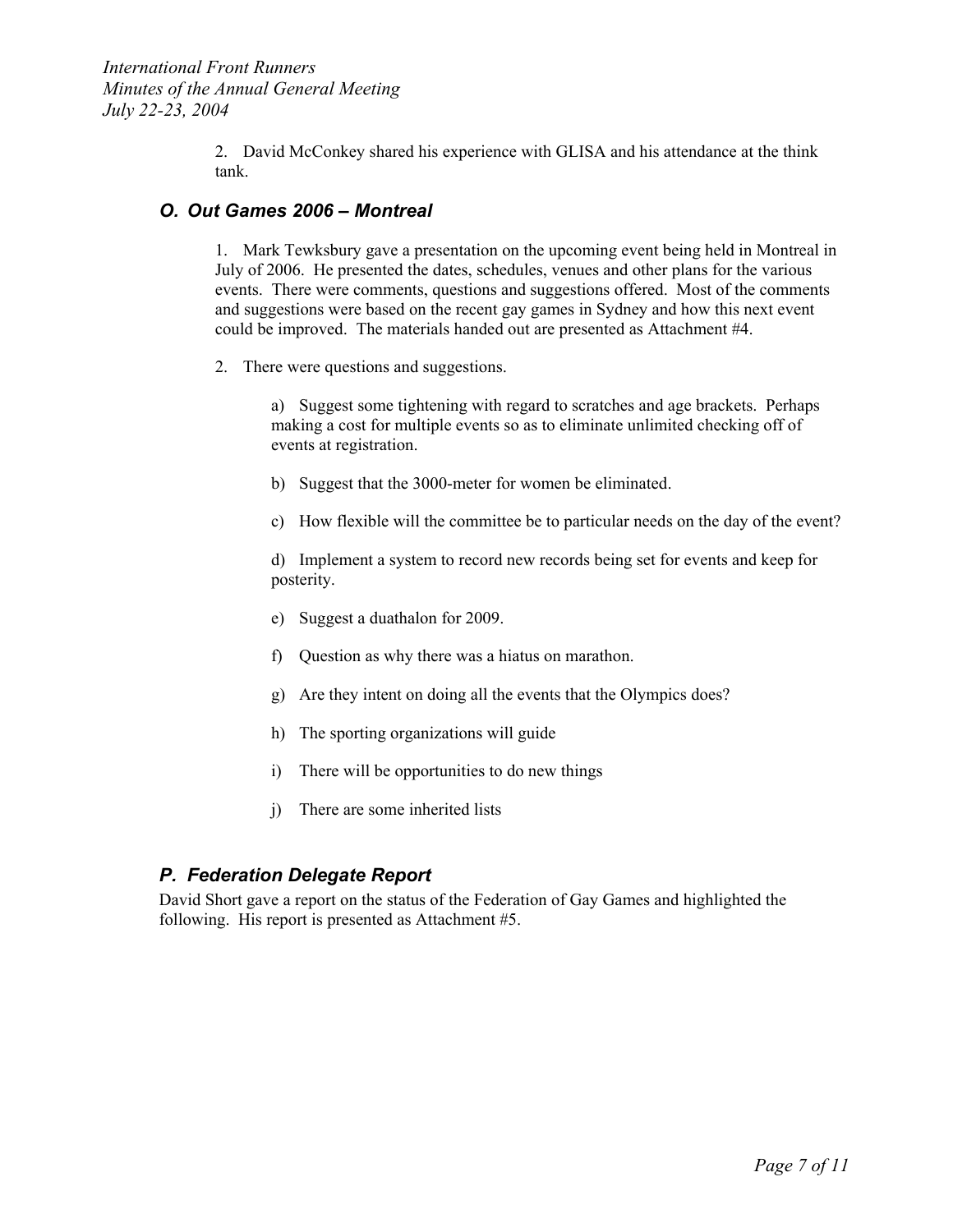2. David McConkey shared his experience with GLISA and his attendance at the think tank.

#### *O. Out Games 2006 – Montreal*

1. Mark Tewksbury gave a presentation on the upcoming event being held in Montreal in July of 2006. He presented the dates, schedules, venues and other plans for the various events. There were comments, questions and suggestions offered. Most of the comments and suggestions were based on the recent gay games in Sydney and how this next event could be improved. The materials handed out are presented as Attachment #4.

2. There were questions and suggestions.

a) Suggest some tightening with regard to scratches and age brackets. Perhaps making a cost for multiple events so as to eliminate unlimited checking off of events at registration.

- b) Suggest that the 3000-meter for women be eliminated.
- c) How flexible will the committee be to particular needs on the day of the event?

d) Implement a system to record new records being set for events and keep for posterity.

- e) Suggest a duathalon for 2009.
- f) Question as why there was a hiatus on marathon.
- g) Are they intent on doing all the events that the Olympics does?
- h) The sporting organizations will guide
- i) There will be opportunities to do new things
- j) There are some inherited lists

### *P. Federation Delegate Report*

David Short gave a report on the status of the Federation of Gay Games and highlighted the following. His report is presented as Attachment #5.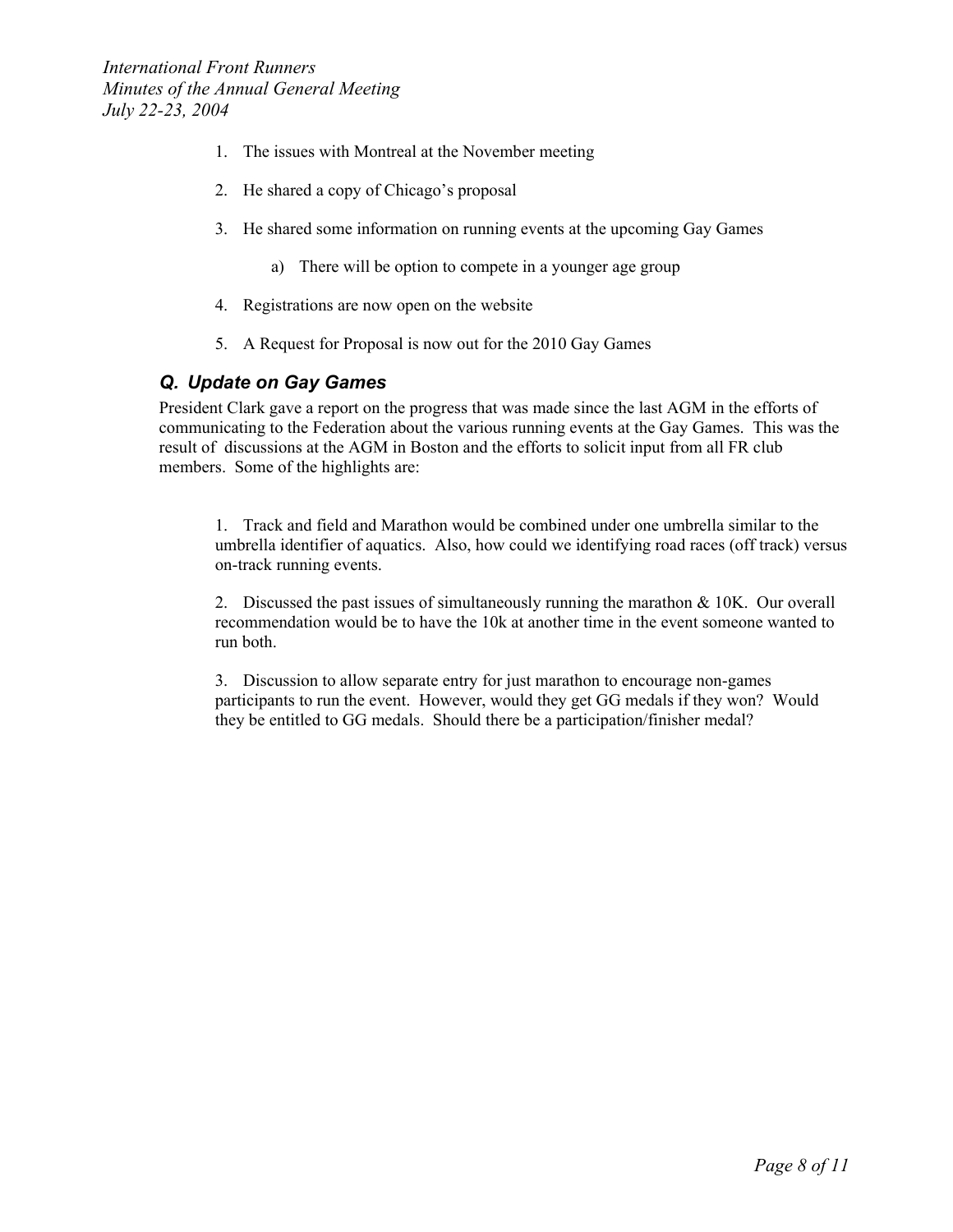- 1. The issues with Montreal at the November meeting
- 2. He shared a copy of Chicago's proposal
- 3. He shared some information on running events at the upcoming Gay Games
	- a) There will be option to compete in a younger age group
- 4. Registrations are now open on the website
- 5. A Request for Proposal is now out for the 2010 Gay Games

### *Q. Update on Gay Games*

President Clark gave a report on the progress that was made since the last AGM in the efforts of communicating to the Federation about the various running events at the Gay Games. This was the result of discussions at the AGM in Boston and the efforts to solicit input from all FR club members. Some of the highlights are:

1. Track and field and Marathon would be combined under one umbrella similar to the umbrella identifier of aquatics. Also, how could we identifying road races (off track) versus on-track running events.

2. Discussed the past issues of simultaneously running the marathon & 10K. Our overall recommendation would be to have the 10k at another time in the event someone wanted to run both.

3. Discussion to allow separate entry for just marathon to encourage non-games participants to run the event. However, would they get GG medals if they won? Would they be entitled to GG medals. Should there be a participation/finisher medal?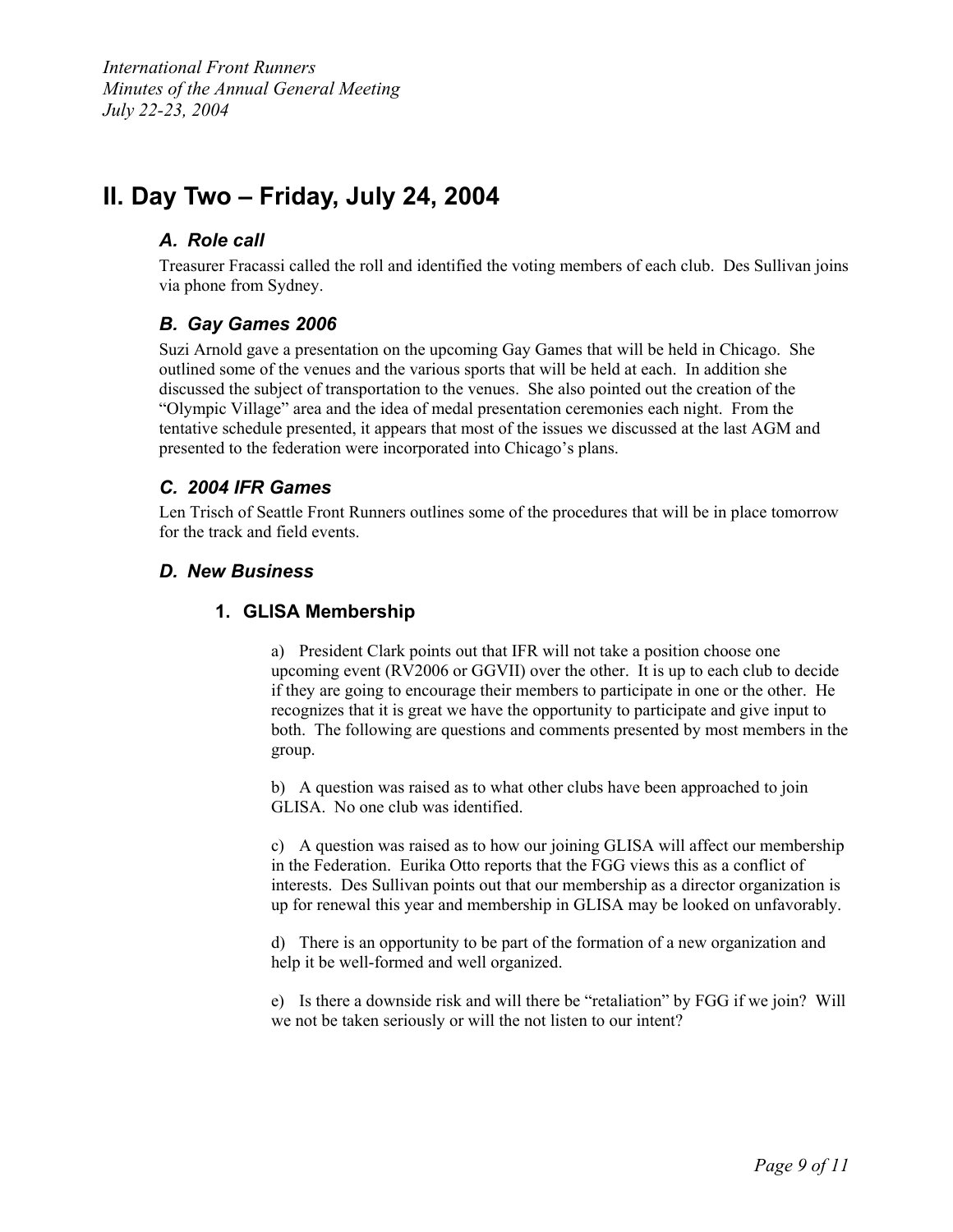# **II. Day Two – Friday, July 24, 2004**

# *A. Role call*

Treasurer Fracassi called the roll and identified the voting members of each club. Des Sullivan joins via phone from Sydney.

# *B. Gay Games 2006*

Suzi Arnold gave a presentation on the upcoming Gay Games that will be held in Chicago. She outlined some of the venues and the various sports that will be held at each. In addition she discussed the subject of transportation to the venues. She also pointed out the creation of the "Olympic Village" area and the idea of medal presentation ceremonies each night. From the tentative schedule presented, it appears that most of the issues we discussed at the last AGM and presented to the federation were incorporated into Chicago's plans.

### *C. 2004 IFR Games*

Len Trisch of Seattle Front Runners outlines some of the procedures that will be in place tomorrow for the track and field events.

### *D. New Business*

#### **1. GLISA Membership**

a) President Clark points out that IFR will not take a position choose one upcoming event (RV2006 or GGVII) over the other. It is up to each club to decide if they are going to encourage their members to participate in one or the other. He recognizes that it is great we have the opportunity to participate and give input to both. The following are questions and comments presented by most members in the group.

b) A question was raised as to what other clubs have been approached to join GLISA. No one club was identified.

c) A question was raised as to how our joining GLISA will affect our membership in the Federation. Eurika Otto reports that the FGG views this as a conflict of interests. Des Sullivan points out that our membership as a director organization is up for renewal this year and membership in GLISA may be looked on unfavorably.

d) There is an opportunity to be part of the formation of a new organization and help it be well-formed and well organized.

e) Is there a downside risk and will there be "retaliation" by FGG if we join? Will we not be taken seriously or will the not listen to our intent?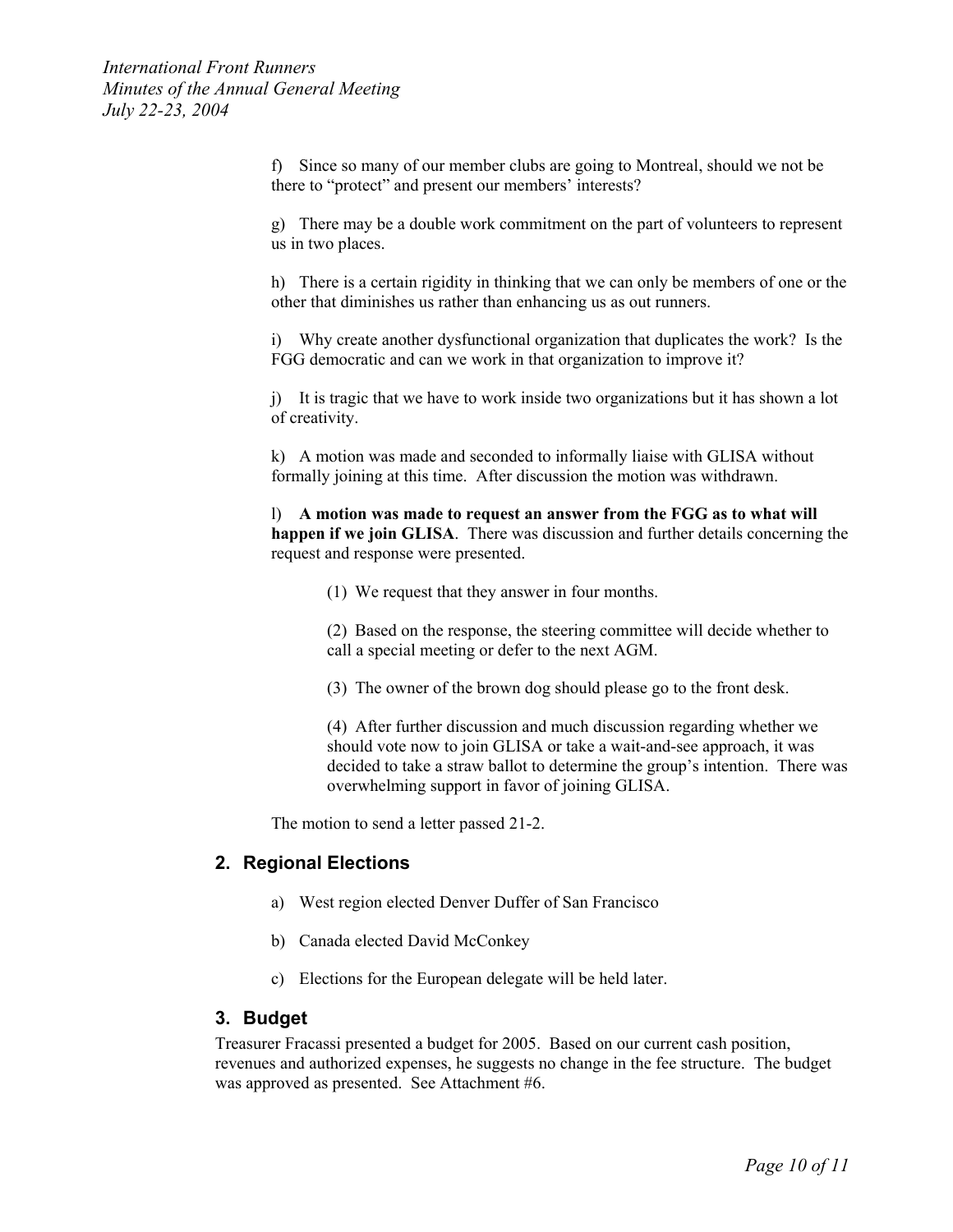f) Since so many of our member clubs are going to Montreal, should we not be there to "protect" and present our members' interests?

g) There may be a double work commitment on the part of volunteers to represent us in two places.

h) There is a certain rigidity in thinking that we can only be members of one or the other that diminishes us rather than enhancing us as out runners.

i) Why create another dysfunctional organization that duplicates the work? Is the FGG democratic and can we work in that organization to improve it?

j) It is tragic that we have to work inside two organizations but it has shown a lot of creativity.

k) A motion was made and seconded to informally liaise with GLISA without formally joining at this time. After discussion the motion was withdrawn.

l) **A motion was made to request an answer from the FGG as to what will happen if we join GLISA**. There was discussion and further details concerning the request and response were presented.

(1) We request that they answer in four months.

(2) Based on the response, the steering committee will decide whether to call a special meeting or defer to the next AGM.

(3) The owner of the brown dog should please go to the front desk.

(4) After further discussion and much discussion regarding whether we should vote now to join GLISA or take a wait-and-see approach, it was decided to take a straw ballot to determine the group's intention. There was overwhelming support in favor of joining GLISA.

The motion to send a letter passed 21-2.

#### **2. Regional Elections**

- a) West region elected Denver Duffer of San Francisco
- b) Canada elected David McConkey
- c) Elections for the European delegate will be held later.

#### **3. Budget**

Treasurer Fracassi presented a budget for 2005. Based on our current cash position, revenues and authorized expenses, he suggests no change in the fee structure. The budget was approved as presented. See Attachment #6.